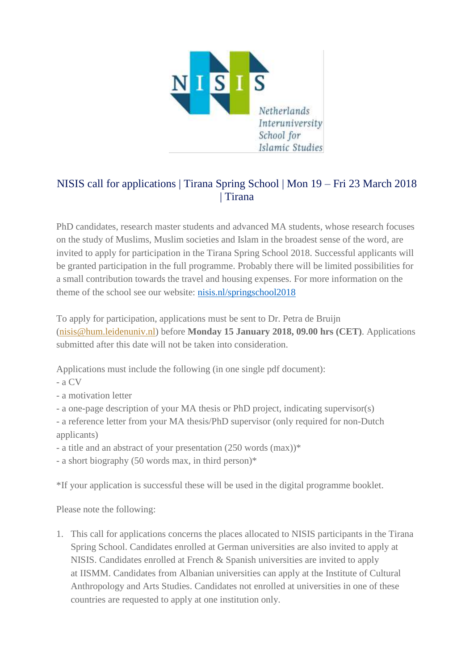

## NISIS call for applications | Tirana Spring School | Mon 19 – Fri 23 March 2018 | Tirana

PhD candidates, research master students and advanced MA students, whose research focuses on the study of Muslims, Muslim societies and Islam in the broadest sense of the word, are invited to apply for participation in the Tirana Spring School 2018. Successful applicants will be granted participation in the full programme. Probably there will be limited possibilities for a small contribution towards the travel and housing expenses. For more information on the theme of the school see our website: [nisis.nl/springschool2018](https://www.universiteitleiden.nl/en/events/2018/03/nisis-spring-school-2018)

To apply for participation, applications must be sent to Dr. Petra de Bruijn [\(nisis@hum.leidenuniv.nl\)](mailto:nisis@hum.leidenuniv.nl) before **Monday 15 January 2018, 09.00 hrs (CET)**. Applications submitted after this date will not be taken into consideration.

Applications must include the following (in one single pdf document):

- a CV
- a motivation letter
- a one-page description of your MA thesis or PhD project, indicating supervisor(s)
- a reference letter from your MA thesis/PhD supervisor (only required for non-Dutch applicants)
- a title and an abstract of your presentation (250 words (max))\*
- a short biography (50 words max, in third person)\*

\*If your application is successful these will be used in the digital programme booklet.

Please note the following:

1. This call for applications concerns the places allocated to NISIS participants in the Tirana Spring School. Candidates enrolled at German universities are also invited to apply at NISIS. Candidates enrolled at French & Spanish universities are invited to apply at IISMM. Candidates from Albanian universities can apply at the Institute of Cultural Anthropology and Arts Studies. Candidates not enrolled at universities in one of these countries are requested to apply at one institution only.